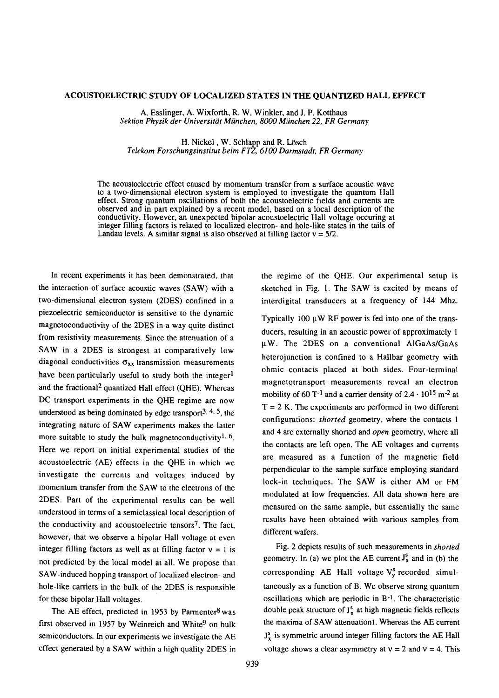## ACOUSTOELECTRIC STUDY OF LOCALIZED STATES IN THE QUANTIZED HALL EFFECT

A. Esslinger, A. Wixforth, R. W. Winkler, and J. P. Kotthaus *Sektion Physik der Universiti~tMiinchen, 8000 Miinchen 22, FR Germany*

H. Nickel, W. Schlapp and R. Lösch *Telekom Forschungsinstitut beim FTZ, 6100 Darmstadt, FR Germany*

The acoustoelectric effect caused by momentum transfer from a surface acoustic wave to a two-dimensional electron system is employed to investigate the quantum Hall effect. Strong quantum oscillations of both the acoustoelectric fields and currents are observed and in part explained by a recent model, based on a local description of the conductivity. However, an unexpected bipolar acoustoelectric Hail voltage occuring at integer filling factors is related to localized electron- and hole-like states in the tails of Landau levels. A similar signal is also observed at filling factor  $v = 5/2$ .

In recent experiments it has been demonstrated, that the interaction of surface acoustic waves (SAW) with a two-dimensional electron system (2DES) confined in a piezoelectric semiconductor is sensitive to the dynamic magnetoconductivityof the 2DES in a way quite distinct from resistivity measurements. Since the attenuation of a SAW in a 2DES is strongest at comparatively low diagonal conductivities  $\sigma_{xx}$  transmission measurements have been particularly useful to study both the integer<sup>1</sup> and the fractional2 quantized Hall effect (QHE). Whereas DC transport experiments in the QHE regime are now understood as being dominated by edge transport<sup>3, 4, 5</sup>, the integrating nature of SAW experiments makes the latter more suitable to study the bulk magnetoconductivity<sup>1, 6</sup>. Here we report on initial experimental studies of the acoustoelectric (AE) effects in the QHE in which we investigate the currents and voltages induced by momentum transfer from the SAW to the electrons of the 2DES. Part of the experimental results can be well understood in terms of a semiclassical local description of the conductivity and acoustoelectric tensors<sup>7</sup>. The fact, however, that we observe a bipolar Hall voltage at even integer filling factors as well as at filling factor  $v = 1$  is not predicted by the local model at all. We propose that SAW-induced hopping transport of localized electron- and hole-like carriers in the bulk of the 2DES is responsible for these bipolar Hall voltages.

The AE effect, predicted in 1953 by Parmenter $8$  was first observed in 1957 by Weinreich and White<sup>9</sup> on bulk semiconductors. In our experiments we investigate the AE effect generated by a SAW within a high quality 2DES in

the regime of the QHE. Our experimental setup is sketched in Fig. 1. The SAW is excited by means of interdigital transducers at a frequency of 144 Mhz.

Typically 100  $\mu$ W RF power is fed into one of the transducers, resulting in an acoustic power of approximately 1  $\mu$ W. The 2DES on a conventional AlGaAs/GaAs heterojunction is confined to a Hallbar geometry with ohmic contacts placed at both sides. Four-terminal magnetotransport measurements reveal an electron mobility of 60 T<sup>-1</sup> and a carrier density of  $2.4 \cdot 10^{15}$  m<sup>-2</sup> at  $T = 2$  K. The experiments are performed in two different configurations: *shorted* geometry, where the contacts 1 and 4 are externally shorted and *open* geometry, where all the contacts are left open. The AE voltages and currents are measured as a function of the magnetic field perpendicular to the sample surface employing standard lock-in techniques. The SAW is either AM or FM modulated at low frequencies. All data shown here are measured on the same sample, but essentially the same results have been obtained with various samples from different wafers.

Fig. 2 depicts results of such measurements in *shorted* geometry. In (a) we plot the AE current  $J_x^s$  and in (b) the corresponding AE Hall voltage  $V_v^s$  recorded simultaneously as a function of B. We observe strong quantum oscillations which are periodic in B-1. The characteristic double peak structure of  $J_x^s$  at high magnetic fields reflects the maxima of SAW attenuationl.Whereas the AE current  $J<sup>s</sup>$  is symmetric around integer filling factors the AE Hall voltage shows a clear asymmetry at  $v = 2$  and  $v = 4$ . This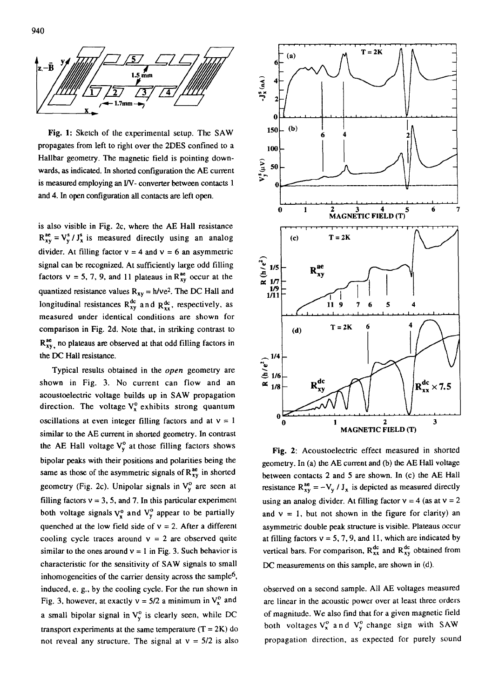

Fig. 1: Sketch of the experimental setup. The SAW propagates from left to right over the 2DES confined to a Hallbar geometry. The magnetic field is pointing downwards, as indicated. In shorted configuration the AE current is measured employing an I/V- converter between contacts 1 and 4. In open configuration all contacts are left open.

is also visible in Fig. 2c, where the AE Hall resistance  $R_{xy}^{ae} = V_y^s / J_x^s$  is measured directly using an analog divider. At filling factor  $v = 4$  and  $v = 6$  an asymmetric signal can be recognized. At sufficiently large odd filling factors  $v = 5, 7, 9$ , and 11 plateaus in  $R_{xy}^{ae}$  occur at the quantized resistance values  $R_{xy} = h/ve^2$ . The DC Hall and longitudinal resistances  $R_{xy}^{dc}$  and  $R_{xx}^{dc}$ , respectively, as measured under identical conditions are shown for comparison in Fig. 2d. Note that, in striking contrast to  $R_{xy}^{ae}$ , no plateaus are observed at that odd filling factors in the DC Hall resistance.

Typical results obtained in the *open* geometry are shown in Fig. 3. No current can flow and an acoustoelectric voltage builds up in SAW propagation direction. The voltage  $V_x^o$  exhibits strong quantum oscillations at even integer filling factors and at  $v = 1$ similar to the AE current in shorted geometry. In contrast the AE Hall voltage  $V_{y}^{o}$  at those filling factors shows bipolar peaks with their positions and polarities being the same as those of the asymmetric signals of  $R_{xy}^{ae}$  in shorted geometry (Fig. 2c). Unipolar signals in  $V_y^o$  are seen at filling factors  $v = 3$ , 5, and 7. In this particular experiment both voltage signals  $V_x^o$  and  $V_y^o$  appear to be partially quenched at the low field side of  $v = 2$ . After a different cooling cycle traces around  $v = 2$  are observed quite similar to the ones around  $v = 1$  in Fig. 3. Such behavior is characteristic for the sensitivity of SAW signals to small inhomogeneities of the carrier density across the sample<sup>6</sup>, induced, e. g., by the cooling cycle. For the run shown in Fig. 3, however, at exactly  $v = 5/2$  a minimum in  $V_x^o$  and a small bipolar signal in  $V_v^o$  is clearly seen, while DC transport experiments at the same temperature  $(T = 2K)$  do not reveal any structure. The signal at  $v = 5/2$  is also



Fig. 2: Acoustoelectric effect measured in shorted geometry. In (a) the AE current and (b) the AE Hall voltage between contacts 2 and 5 are shown. In (c) the AE Hall resistance  $R_{xy}^{\text{ac}} = -V_y / J_x$  is depicted as measured directly using an analog divider. At filling factor  $v = 4$  (as at  $v = 2$ ) and  $v = 1$ , but not shown in the figure for clarity) an asymmetric double peak structure is visible. Plateaus occur at filling factors  $v = 5, 7, 9$ , and 11, which are indicated by vertical bars. For comparison,  $R_{xx}^{dc}$  and  $R_{xy}^{dc}$  obtained from DC measurements on this sample, are shown in (d).

observed on a second sample. All AE voltages measured are linear in the acoustic power over at least three orders of magnitude. We also find that for a given magnetic field both voltages  $V_x^o$  and  $V_y^o$  change sign with SAW propagation direction, as expected for purely sound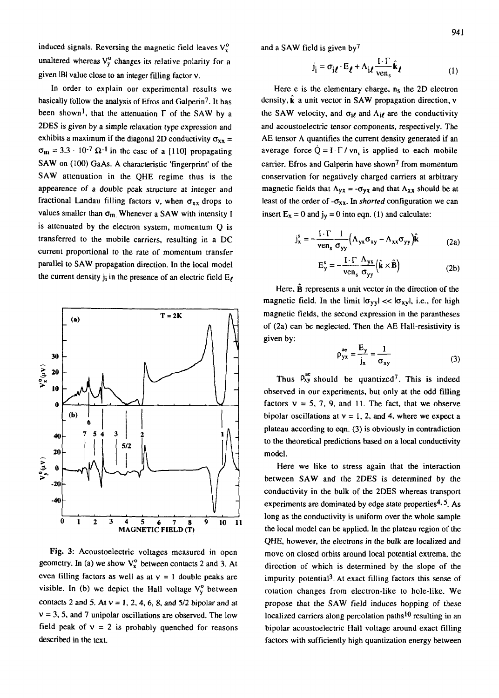induced signals. Reversing the magnetic field leaves  $V_x^0$ unaltered whereas  $V_y^0$  changes its relative polarity for a given  $IBI$  value close to an integer filling factor  $v$ .

In order to explain our experimental results we basically follow the analysis of Efros and Galperin7. It has been shown<sup>1</sup>, that the attenuation  $\Gamma$  of the SAW by a 2DES is given by a simple relaxation type expression and exhibits a maximum if the diagonal 2D conductivity  $\sigma_{xx}$  =  $\sigma_{\rm m} = 3.3 \cdot 10^{-7} \Omega^{-1}$  in the case of a [110] propagating SAW on (100) GaAs. A characteristic 'fingerprint' of the SAW attenuation in the QHE regime thus is the appearence of a double peak structure at integer and fractional Landau filling factors v, when  $\sigma_{xx}$  drops to values smaller than  $\sigma_m$ . Whenever a SAW with intensity I is attenuated by the electron system, momentum Q is transferred to the mobile carriers, resulting in a DC current proportional to the rate of momentum transfer parallel to SAW propagation direction. In the local model the current density  $j_i$  in the presence of an electric field  $E_{\ell}$ 



Fig. 3: Acoustoelectric voltages measured in open geometry. In (a) we show  $V_x^0$  between contacts 2 and 3. At even filling factors as well as at  $v = 1$  double peaks are visible. In (b) we depict the Hall voltage  $V_y^o$  between contacts 2 and 5. At  $v = 1, 2, 4, 6, 8$ , and  $5/2$  bipolar and at  $v = 3$ , 5, and 7 unipolar oscillations are observed. The low field peak of  $v = 2$  is probably quenched for reasons described in the text.

and a SAW field is given by7

$$
\mathbf{j}_i = \sigma_{i\ell} \cdot \mathbf{E}_{\ell} + \Lambda_{i\ell} \frac{\mathbf{I} \cdot \Gamma}{\text{ven}_s} \hat{\mathbf{k}}_{\ell} \tag{1}
$$

Here e is the elementary charge,  $n_s$  the 2D electron density,  $\hat{\mathbf{k}}$  a unit vector in SAW propagation direction, v the SAW velocity, and  $\sigma_{i\ell}$  and  $\Lambda_{i\ell}$  are the conductivity and acoustoelectric tensor components, respectively. The AE tensor  $\Lambda$  quantifies the current density generated if an average force  $\dot{Q} = I \cdot \Gamma / v n_s$  is applied to each mobile carrier. Efros and Galperin have shown<sup>7</sup> from momentum conservation for negatively charged carriers at arbitrary magnetic fields that  $\Lambda_{yx} = -\sigma_{yx}$  and that  $\Lambda_{xx}$  should be at least of the order of  $-\sigma_{xx}$ . In *shorted* configuration we can insert  $E_x = 0$  and  $j_y = 0$  into eqn. (1) and calculate:

$$
j_x^s = -\frac{I \cdot \Gamma}{\text{ven}_s} \frac{1}{\sigma_{yy}} \Big( \Lambda_{yx} \sigma_{xy} - \Lambda_{xx} \sigma_{yy} \Big) \hat{k}
$$
 (2a)

$$
E_{y}^{s} = -\frac{I \cdot \Gamma}{ven_{s}} \frac{\Lambda_{yx}}{\sigma_{yy}} (\hat{\mathbf{k}} \times \hat{\mathbf{B}})
$$
 (2b)

Here,  $\hat{B}$  represents a unit vector in the direction of the magnetic field. In the limit  $|\sigma_{yy}| \ll |\sigma_{xy}|$ , i.e., for high magnetic fields, the second expression in the parantheses of (2a) can be neglected. Then the AE Hall-resistivity is given by:

$$
\rho_{yx}^{ae} = \frac{E_y}{j_x} = \frac{1}{\sigma_{xy}}
$$
 (3)

Thus  $\rho_{xy}^{ae}$  should be quantized<sup>7</sup>. This is indeed observed in our experiments, but only at the odd filling factors  $v = 5, 7, 9$ , and 11. The fact, that we observe bipolar oscillations at  $v = 1$ , 2, and 4, where we expect a plateau according to eqn. (3) is obviously in contradiction to the theoretical predictions based on a local conductivity model.

Here we like to stress again that the interaction between SAW and the 2DES is determined by the conductivity in the bulk of the 2DES whereas transport experiments are dominated by edge state properties<sup>4, 5</sup>. As long as the conductivity is uniform over the whole sample the local model can be applied. In the plateau region of the QHE, however, the electrons in the bulk are localized and move on closed orbits around local potential extrema, the direction of which is determined by the slope of the impurity potential3. At exact filling factors this sense of rotation changes from electron-like to hole-like. We propose that the SAW field induces hopping of these localized carriers along percolation paths<sup>10</sup> resulting in an bipolar acoustoelectric Hall voltage around exact filling factors with sufficiently high quantization energy between